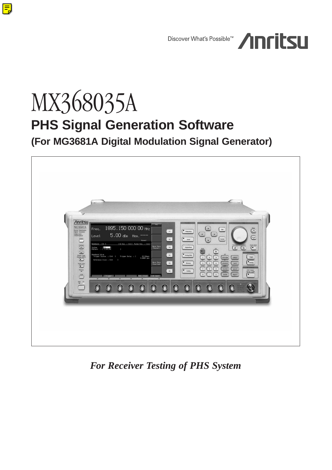

# MX368035A **PHS Signal Generation Software**

 $\mathbf{E}$ 

**(For MG3681A Digital Modulation Signal Generator)**



*For Receiver Testing of PHS System*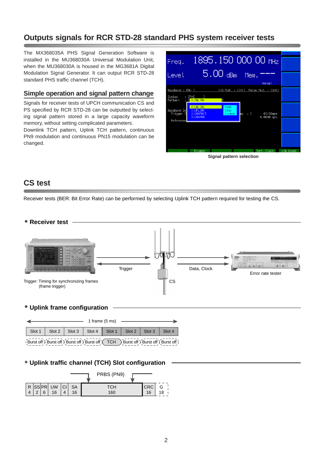# **Outputs signals for RCR STD-28 standard PHS system receiver tests**

The MX368035A PHS Signal Generation Software is installed in the MU368030A Universal Modulation Unit, when the MU368030A is housed in the MG3681A Digital Modulation Signal Generator. It can output RCR STD-28 standard PHS traffic channel (TCH).

## **Simple operation and signal pattern change**

Signals for receiver tests of UPCH communication CS and PS specified by RCR STD-28 can be outputted by selecting signal pattern stored in a large capacity waveform memory, without setting complicated parameters.

Downlink TCH pattern, Uplink TCH pattern, continuous PN9 modulation and continuous PN15 modulation can be changed.

| $1895.15000000$ MHz<br>Freq.                                                                                                                              |           |
|-----------------------------------------------------------------------------------------------------------------------------------------------------------|-----------|
| $5.00$ dBm.<br>Mem.<br>Level                                                                                                                              |           |
| Normal                                                                                                                                                    |           |
| Baseband : [0n ]<br>I/Q Mod. : [Int] Pulse Mod. : [Int]                                                                                                   |           |
| : [PHS<br>$\overline{1}$<br>System<br>$: 10:$ DWLINK<br>Pattern                                                                                           |           |
| $0:$ DWL INK<br>Knob<br>Baseband Se<br>1:UPLINK<br><b>Step</b><br>2: CONPN15<br>01/20sps<br>Trigger S<br>: I<br>Cursor:<br>av.<br>0.0000 sps<br>3: CONPN9 |           |
| <b>Reference</b>                                                                                                                                          |           |
|                                                                                                                                                           |           |
|                                                                                                                                                           | I/Q Input |
| Ref. Clock<br>Trigger                                                                                                                                     |           |
| Signal pattern selection                                                                                                                                  |           |

# **CS test**

Receiver tests (BER: Bit Error Rate) can be performed by selecting Uplink TCH pattern required for testing the CS.



## • **Uplink frame configuration**

|                                                                                                                                                                                                                                |  |                                                                       |  |  | $1$ frame $(5 \text{ ms})$ $\longrightarrow$ |  |  |  |
|--------------------------------------------------------------------------------------------------------------------------------------------------------------------------------------------------------------------------------|--|-----------------------------------------------------------------------|--|--|----------------------------------------------|--|--|--|
|                                                                                                                                                                                                                                |  | Slot 1   Slot 2   Slot 3   Slot 4   Slot 1   Slot 2   Slot 3   Slot 4 |  |  |                                              |  |  |  |
| (Burst off) Burst off) Burst off Surst off TCH Surst off Surst off Surst off Surst off Surst off Surst off Surst off Surst off Surst off Surst off Surst off Surst off Surst off Surst off Surst off Surst off Surst off Surst |  |                                                                       |  |  |                                              |  |  |  |

# • **Uplink traffic channel (TCH) Slot configuration**

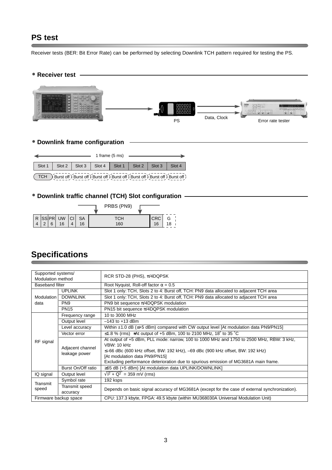# **PS test**

Receiver tests (BER: Bit Error Rate) can be performed by selecting Downlink TCH pattern required for testing the PS.

• **Receiver test**



## • **Downlink frame configuration**

|                                                                                                                                                                                                                                                                                             |  |  |  | 1 frame $(5 \text{ ms})$ |  |  |  |
|---------------------------------------------------------------------------------------------------------------------------------------------------------------------------------------------------------------------------------------------------------------------------------------------|--|--|--|--------------------------|--|--|--|
| Slot 1   Slot 2   Slot 3   Slot 4   Slot 1   Slot 2   Slot 3   Slot 4                                                                                                                                                                                                                       |  |  |  |                          |  |  |  |
| $TCH$ $\rightarrow$ Rurst off $\rightarrow$ Rurst off $\rightarrow$ Rurst off $\rightarrow$ Rurst off $\rightarrow$ Rurst off $\rightarrow$ Rurst off $\rightarrow$ Rurst off $\rightarrow$ Rurst off $\rightarrow$ Rurst off $\rightarrow$ Rurst off $\rightarrow$ Rurst off $\rightarrow$ |  |  |  |                          |  |  |  |

TCH Burst off  $B$  Burst off  $B$  Burst off  $B$  Burst off  $B$  Burst off  $B$  Burst off  $B$  Burst off  $B$ 

## • **Downlink traffic channel (TCH) Slot configuration**

|          |   |                          |                 | PRBS (PN9) |                  |    |
|----------|---|--------------------------|-----------------|------------|------------------|----|
| $\Omega$ | 6 | $ R$ SSPR UW $ C $<br>16 | <b>SA</b><br>16 | тсн<br>160 | <b>CRC</b><br>16 | 18 |

# **Specifications**

| Supported systems/<br><b>Modulation method</b> |                                   | RCR STD-28 (PHS), $\pi$ /4DQPSK                                                                                                                                                                                                  |  |  |  |  |
|------------------------------------------------|-----------------------------------|----------------------------------------------------------------------------------------------------------------------------------------------------------------------------------------------------------------------------------|--|--|--|--|
| <b>Baseband filter</b>                         |                                   | Root Nyquist, Roll-off factor $\alpha = 0.5$                                                                                                                                                                                     |  |  |  |  |
|                                                | <b>UPLINK</b>                     | Slot 1 only: TCH, Slots 2 to 4: Burst off, TCH: PN9 data allocated to adjacent TCH area                                                                                                                                          |  |  |  |  |
| Modulation                                     | <b>DOWNLINK</b>                   | Slot 1 only: TCH, Slots 2 to 4: Burst off, TCH: PN9 data allocated to adjacent TCH area                                                                                                                                          |  |  |  |  |
| data                                           | PN <sub>9</sub>                   | PN9 bit sequence $\pi$ /4DQPSK modulation                                                                                                                                                                                        |  |  |  |  |
|                                                | <b>PN15</b>                       | PN15 bit sequence $\pi$ /4DQPSK modulation                                                                                                                                                                                       |  |  |  |  |
|                                                | Frequency range                   | 10 to 3000 MHz                                                                                                                                                                                                                   |  |  |  |  |
|                                                | Output level                      | $-143$ to $+13$ dBm                                                                                                                                                                                                              |  |  |  |  |
|                                                | Level accuracy                    | Within $\pm 1.0$ dB ( $\leq +5$ dBm) compared with CW output level [At modulation data PN9/PN15]                                                                                                                                 |  |  |  |  |
|                                                | Vector error                      | ≤1.8 % (rms) *At output of +5 dBm, 100 to 2100 MHz, 18° to 35 °C                                                                                                                                                                 |  |  |  |  |
| RF signal                                      | Adjacent channel<br>leakage power | At output of +5 dBm, PLL mode: narrow, 100 to 1000 MHz and 1750 to 2500 MHz, RBW: 3 kHz,<br><b>VBW: 10 kHz</b><br>≤–66 dBc (600 kHz offset, BW: 192 kHz), –69 dBc (900 kHz offset, BW: 192 kHz)<br>[At modulation data PN9/PN15] |  |  |  |  |
|                                                | Burst On/Off ratio                | Excluding performance deterioration due to spurious emission of MG3681A main frame.<br>≥65 dB (+5 dBm) [At modulation data UPLINK/DOWNLINK]                                                                                      |  |  |  |  |
| IQ signal                                      | Output level                      | $\sqrt{1^2 + Q^2}$ = 359 mV (rms)                                                                                                                                                                                                |  |  |  |  |
|                                                |                                   |                                                                                                                                                                                                                                  |  |  |  |  |
| Transmit                                       | Symbol rate                       | 192 ksps                                                                                                                                                                                                                         |  |  |  |  |
| speed                                          | Transmit speed<br>accuracy        | Depends on basic signal accuracy of MG3681A (except for the case of external synchronization).                                                                                                                                   |  |  |  |  |
| Firmware backup space                          |                                   | CPU: 137.3 kbyte, FPGA: 49.5 kbyte (within MU368030A Universal Modulation Unit)                                                                                                                                                  |  |  |  |  |